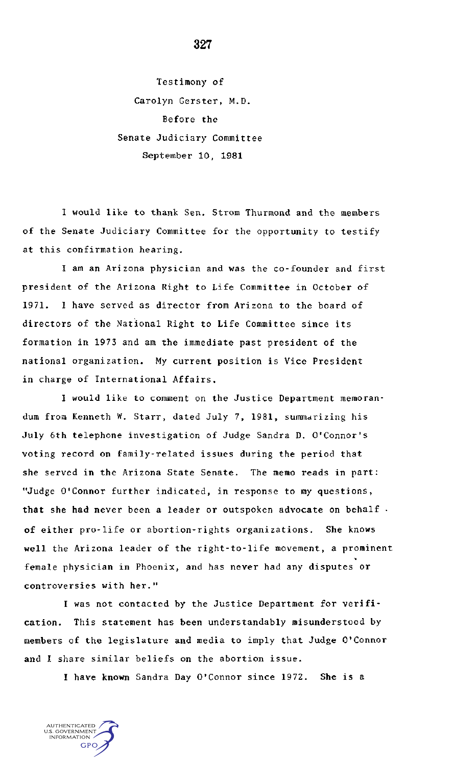Testimony of Carolyn Gerster, M.D. Before the Senate Judiciary Committee September 10, 1981

I would like to thank Sen. Strom Thurmond and the members of the Senate Judiciary Committee for the opportunity to testify at this confirmation hearing.

I am an Arizona physician and was the co-founder and first president of the Arizona Right to Life Committee in October of 1971. I have served as director from Arizona to the board of directors of the National Right to Life Committee since its formation in 1973 and am the immediate past president of the national organization. My current position is Vice President in charge of International Affairs.

I would like to comment on the Justice Department memorandum from Kenneth W. Starr, dated July 7, 1981, summarizing his July 6th telephone investigation of Judge Sandra D. O'Connor's voting record on family-related issues during the period that she served in the Arizona State Senate. The memo reads in part: "Judge O'Connor further indicated, in response to my questions, **that** she had never been a leader or outspoken advocate on behalf • of either pro-life or abortion-rights organizations. She knows well the Arizona leader of the right-to-life movement, a prominent female physician in Phoenix, and has never had any disputes or controversies with her."

I was not contacted by the Justice Department for verification. This statement has been understandably misunderstood by members of the legislature and media to imply that Judge O'Connor and I share similar beliefs on the abortion issue.

**I have known** Sandra Day O'Connor since 1972. She is a

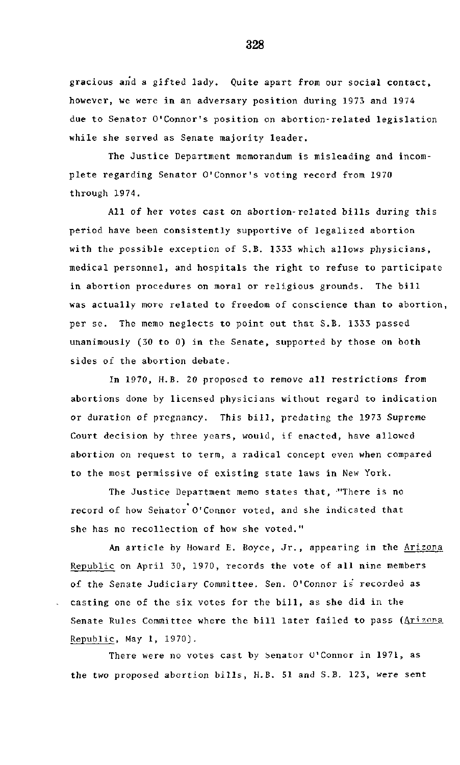gracious and a gifted lady. Quite apart from our social contact, however, we were in an adversary position during 1973 and 1974 due to Senator O'Connor's position on abortion-related legislation while she served as Senate majority leader.

The Justice Department memorandum is misleading and incomplete regarding Senator O'Connor's voting record from 1970 through 1974.

All of her votes cast on abortion-related bills during this period have been consistently supportive of legalized abortion with the possible exception of S.B. 1333 which allows physicians, medical personnel, and hospitals the right to refuse to participate in abortion procedures on moral or religious grounds. The bill was actually more related to freedom of conscience than to abortion, per se. The memo neglects to point out that S.B. 1333 passed unanimously (30 to 0) in the Senate, supported by those on both sides of the abortion debate.

In 1970, H.B. 20 proposed to remove all restrictions from abortions done by licensed physicians without regard to indication or duration of pregnancy. This bill, predating the 1973 Supreme Court decision by three years, would, if enacted, have allowed abortion on request to term, a radical concept even when compared to the most permissive of existing state laws in New York.

The Justice Department memo states that, "There is no record of how Senator O'Connor voted, and she indicated that she has no recollection of how she voted."

An article by Howard E. Boyce, Jr., appearing in the Arizona Republic on April 30, 1970, records the vote of all nine members of the Senate Judiciary Committee. Sen. O'Connor is recorded as casting one of the six votes for the bill, as she did in the Senate Rules Committee where the bill later failed to pass (Arizona Republic, May 1, 1970).

There were no votes cast by Senator U'Connor in 1971, as the two proposed abortion bills, H.B. 51 and S.B. 123, were sent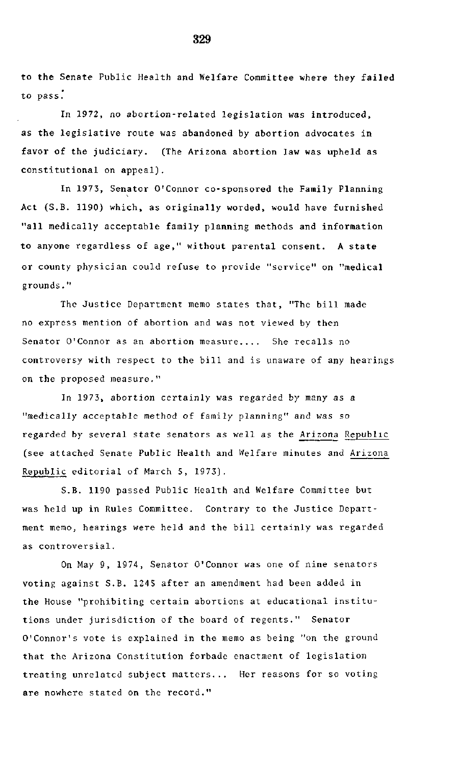to **the** Senate Public Health and Welfare Committee where they failed to pass."

In 1972, no abortion-related legislation was introduced, as the legislative route was abandoned by abortion advocates in favor of the judiciary. (The Arizona abortion law was upheld as constitutional on appeal).

In 1973, Senator O'Connor co-sponsored the Family Planning Act (S.B. 1190) which, as originally worded, would have furnished "all medically acceptable family planning methods and information to anyone regardless of age," without parental consent. A state or county physician could refuse to provide "service" on "medical grounds."

The Justice Department memo states that, "The bill made no express mention of abortion and was not viewed by then Senator O'Connor as an abortion measure.... She recalls no controversy with respect to the bill and is unaware of any hearings on the proposed measure."

In 1973, abortion certainly was regarded by many as a "medically acceptable method of family planning" and was so regarded by several state senators as well as the Arizona Republic (see attached Senate Public Health and Welfare minutes and Arizona Republic editorial of March 5, 1973).

S.B. 1190 passed Public Health and Welfare Committee but was held up in Rules Committee. Contrary to the Justice Department memo, hearings were held and the bill certainly was regarded as controversial.

On May 9, 1974, Senator O'Connor was one of nine senators voting against S.B. 1245 after an amendment had been added in the House "prohibiting certain abortions at educational institutions under jurisdiction of the board of regents." Senator O'Connor's vote is explained in the memo as being "on the ground that the Arizona Constitution forbade enactment of legislation treating unrelated subject matters... Her reasons for so voting are nowhere stated on the record."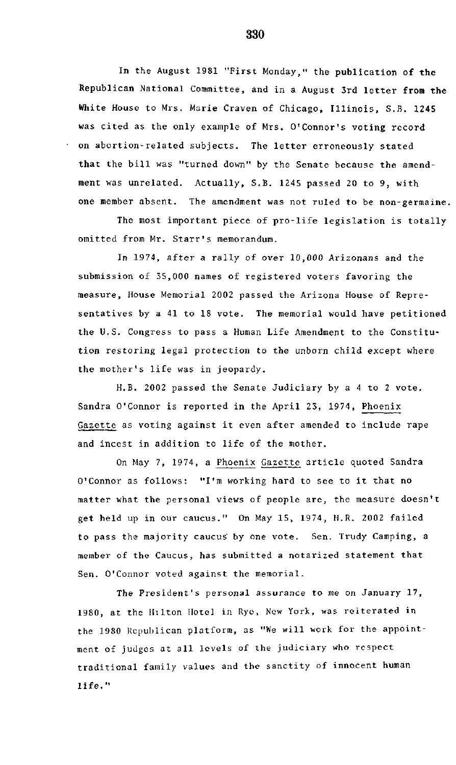In **the** August 1981 "First Monday," the publication of **the** Republican National Committee, and in a August 3rd letter **from the White** House to Mrs. Marie Craven of Chicago, Illinois, S.B. 1245 was cited as the only example of Mrs. O'Connor's voting record on abortion-related subjects. The letter erroneously stated that the bill was "turned down" by the Senate because the amendment was unrelated. Actually, S.B. 1245 passed 20 to 9, with one member absent. The amendment was not ruled to be non-germaine.

The most important piece of pro-life legislation is totally omitted from Mr. Starr's memorandum.

In 1974, after a rally of over 10,000 Arizonans and the submission of 35,000 names of registered voters favoring the measure, House Memorial 2002 passed the Arizona House of Representatives by a 41 to 18 vote. The memorial would have petitioned the U.S. Congress to pass a Human Life Amendment to the Constitution restoring legal protection to the unborn child except where the mother's life was in jeopardy.

H.B. 2002 passed the Senate Judiciary by a 4 to 2 vote. Sandra O'Connor is reported in the April 23, 1974, Phoenix Gazette as voting against it even after amended to include rape and incest in addition to life of the mother.

On May 7, 1974, a Phoenix Gazette article quoted Sandra O'Connor as follows: "I'm working hard to see to it that no matter what the personal views of people are, the measure doesn't get held up in our caucus." On May 15, 1974, H.R. 2002 failed to pass the majority caucus by one vote. Sen. Trudy Camping, a member of the Caucus, has submitted a notarized statement that Sen. O'Connor voted against the memorial.

The President's personal assurance to me on January 17, 1980, at the Hilton Hotel in Rye, New York, was reiterated in the 1980 Republican platform, as "We will work for the appointment of judges at all levels of the judiciary who respect traditional family values and the sanctity of innocent human life."